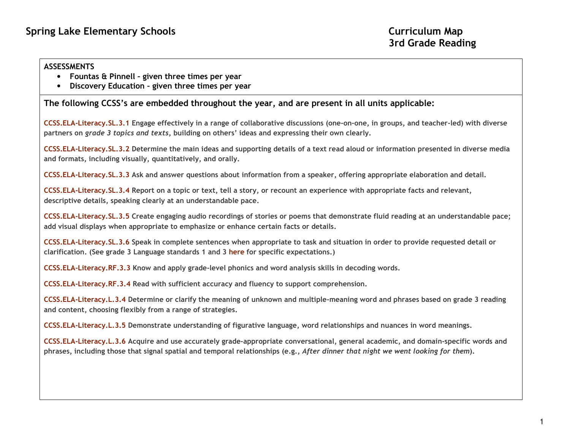## **ASSESSMENTS**

- Fountas & Pinnell given three times per year
- $\bullet$ Discovery Education – given three times per year

The following CCSS's are embedded throughout the year, and are present in all units applicable:

CCSS.ELA-Literacy.SL.3.1 Engage effectively in a range of collaborative discussions (one-on-one, in groups, and teacher-led) with diverse partners on grade 3 topics and texts, building on others' ideas and expressing their own clearly.

CCSS.ELA-Literacy.SL.3.2 Determine the main ideas and supporting details of a text read aloud or information presented in diverse media and formats, including visually, quantitatively, and orally.

CCSS.ELA-Literacy.SL.3.3 Ask and answer questions about information from a speaker, offering appropriate elaboration and detail.

CCSS.ELA-Literacy.SL.3.4 Report on a topic or text, tell a story, or recount an experience with appropriate facts and relevant, descriptive details, speaking clearly at an understandable pace.

CCSS.ELA-Literacy.SL.3.5 Create engaging audio recordings of stories or poems that demonstrate fluid reading at an understandable pace; add visual displays when appropriate to emphasize or enhance certain facts or details.

CCSS.ELA-Literacy.SL.3.6 Speak in complete sentences when appropriate to task and situation in order to provide requested detail or clarification. (See grade 3 Language standards 1 and 3 here for specific expectations.)

CCSS.ELA-Literacy.RF.3.3 Know and apply grade-level phonics and word analysis skills in decoding words.

CCSS.ELA-Literacy.RF.3.4 Read with sufficient accuracy and fluency to support comprehension.

CCSS.ELA-Literacy.L.3.4 Determine or clarify the meaning of unknown and multiple-meaning word and phrases based on grade 3 reading and content, choosing flexibly from a range of strategies.

CCSS.ELA-Literacy.L.3.5 Demonstrate understanding of figurative language, word relationships and nuances in word meanings.

CCSS.ELA-Literacy.L.3.6 Acquire and use accurately grade-appropriate conversational, general academic, and domain-specific words and phrases, including those that signal spatial and temporal relationships (e.g., After dinner that night we went looking for them).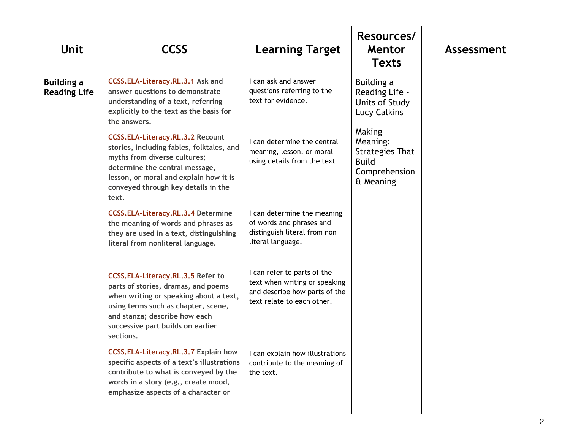| <b>Unit</b>                              | <b>CCSS</b>                                                                                                                                                                                                                                                  | <b>Learning Target</b>                                                                                                               | Resources/<br>Mentor<br><b>Texts</b>                                                                                  | Assessment |
|------------------------------------------|--------------------------------------------------------------------------------------------------------------------------------------------------------------------------------------------------------------------------------------------------------------|--------------------------------------------------------------------------------------------------------------------------------------|-----------------------------------------------------------------------------------------------------------------------|------------|
| <b>Building a</b><br><b>Reading Life</b> | CCSS.ELA-Literacy.RL.3.1 Ask and<br>answer questions to demonstrate<br>understanding of a text, referring<br>explicitly to the text as the basis for<br>the answers.<br><b>CCSS.ELA-Literacy.RL.3.2 Recount</b><br>stories, including fables, folktales, and | I can ask and answer<br>questions referring to the<br>text for evidence.<br>I can determine the central<br>meaning, lesson, or moral | Building a<br>Reading Life -<br>Units of Study<br><b>Lucy Calkins</b><br>Making<br>Meaning:<br><b>Strategies That</b> |            |
|                                          | myths from diverse cultures;<br>determine the central message,<br>lesson, or moral and explain how it is<br>conveyed through key details in the<br>text.                                                                                                     | using details from the text                                                                                                          | <b>Build</b><br>Comprehension<br>& Meaning                                                                            |            |
|                                          | <b>CCSS.ELA-Literacy.RL.3.4 Determine</b><br>the meaning of words and phrases as<br>they are used in a text, distinguishing<br>literal from nonliteral language.                                                                                             | I can determine the meaning<br>of words and phrases and<br>distinguish literal from non<br>literal language.                         |                                                                                                                       |            |
|                                          | <b>CCSS.ELA-Literacy.RL.3.5 Refer to</b><br>parts of stories, dramas, and poems<br>when writing or speaking about a text,<br>using terms such as chapter, scene,<br>and stanza; describe how each<br>successive part builds on earlier<br>sections.          | I can refer to parts of the<br>text when writing or speaking<br>and describe how parts of the<br>text relate to each other.          |                                                                                                                       |            |
|                                          | CCSS.ELA-Literacy.RL.3.7 Explain how<br>specific aspects of a text's illustrations<br>contribute to what is conveyed by the<br>words in a story (e.g., create mood,<br>emphasize aspects of a character or                                                   | I can explain how illustrations<br>contribute to the meaning of<br>the text.                                                         |                                                                                                                       |            |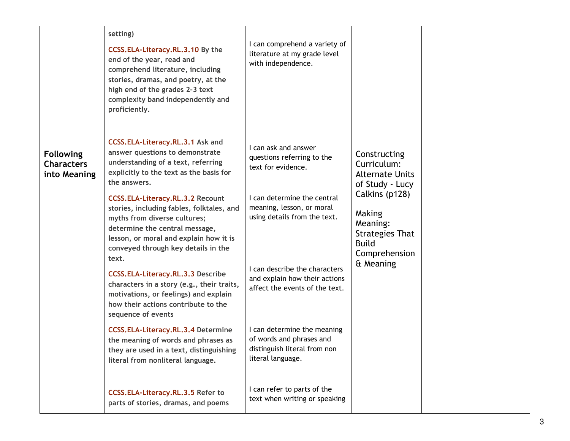| setting)<br>I can comprehend a variety of<br>CCSS.ELA-Literacy.RL.3.10 By the<br>literature at my grade level<br>end of the year, read and<br>with independence.<br>comprehend literature, including<br>stories, dramas, and poetry, at the<br>high end of the grades 2-3 text<br>complexity band independently and<br>proficiently.<br>CCSS.ELA-Literacy.RL.3.1 Ask and<br>I can ask and answer<br>answer questions to demonstrate<br><b>Following</b><br>Constructing<br>questions referring to the<br>understanding of a text, referring<br>Characters<br>Curriculum:<br>text for evidence.<br>explicitly to the text as the basis for<br>into Meaning<br><b>Alternate Units</b><br>the answers.<br>of Study - Lucy<br>Calkins (p128)<br>I can determine the central<br><b>CCSS.ELA-Literacy.RL.3.2 Recount</b><br>meaning, lesson, or moral<br>stories, including fables, folktales, and<br>Making<br>using details from the text.<br>myths from diverse cultures;<br>Meaning:<br>determine the central message,<br><b>Strategies That</b><br>lesson, or moral and explain how it is<br><b>Build</b><br>conveyed through key details in the<br>Comprehension<br>text.<br>& Meaning<br>I can describe the characters<br><b>CCSS.ELA-Literacy.RL.3.3 Describe</b><br>and explain how their actions<br>characters in a story (e.g., their traits,<br>affect the events of the text.<br>motivations, or feelings) and explain<br>how their actions contribute to the<br>sequence of events<br>I can determine the meaning<br><b>CCSS.ELA-Literacy.RL.3.4 Determine</b><br>of words and phrases and<br>the meaning of words and phrases as<br>distinguish literal from non<br>they are used in a text, distinguishing |  |  |  |
|----------------------------------------------------------------------------------------------------------------------------------------------------------------------------------------------------------------------------------------------------------------------------------------------------------------------------------------------------------------------------------------------------------------------------------------------------------------------------------------------------------------------------------------------------------------------------------------------------------------------------------------------------------------------------------------------------------------------------------------------------------------------------------------------------------------------------------------------------------------------------------------------------------------------------------------------------------------------------------------------------------------------------------------------------------------------------------------------------------------------------------------------------------------------------------------------------------------------------------------------------------------------------------------------------------------------------------------------------------------------------------------------------------------------------------------------------------------------------------------------------------------------------------------------------------------------------------------------------------------------------------------------------------------------------------------------------------------------|--|--|--|
|                                                                                                                                                                                                                                                                                                                                                                                                                                                                                                                                                                                                                                                                                                                                                                                                                                                                                                                                                                                                                                                                                                                                                                                                                                                                                                                                                                                                                                                                                                                                                                                                                                                                                                                      |  |  |  |
| literal language.<br>literal from nonliteral language.<br>I can refer to parts of the<br>CCSS.ELA-Literacy.RL.3.5 Refer to<br>text when writing or speaking<br>parts of stories, dramas, and poems                                                                                                                                                                                                                                                                                                                                                                                                                                                                                                                                                                                                                                                                                                                                                                                                                                                                                                                                                                                                                                                                                                                                                                                                                                                                                                                                                                                                                                                                                                                   |  |  |  |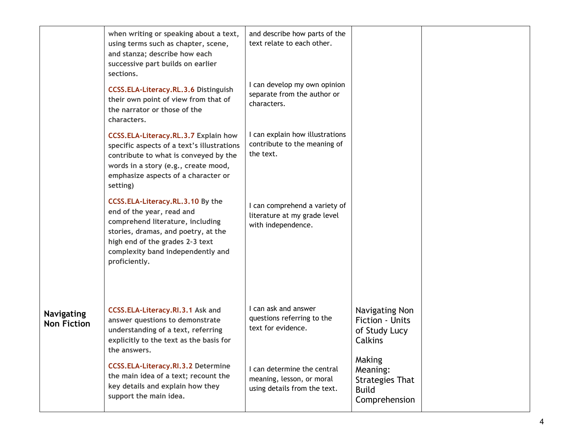|                                         | when writing or speaking about a text,<br>using terms such as chapter, scene,<br>and stanza; describe how each<br>successive part builds on earlier<br>sections.<br><b>CCSS.ELA-Literacy.RL.3.6 Distinguish</b><br>their own point of view from that of<br>the narrator or those of the<br>characters. | and describe how parts of the<br>text relate to each other.<br>I can develop my own opinion<br>separate from the author or<br>characters. |                                                                               |  |
|-----------------------------------------|--------------------------------------------------------------------------------------------------------------------------------------------------------------------------------------------------------------------------------------------------------------------------------------------------------|-------------------------------------------------------------------------------------------------------------------------------------------|-------------------------------------------------------------------------------|--|
|                                         | <b>CCSS.ELA-Literacy.RL.3.7 Explain how</b><br>specific aspects of a text's illustrations<br>contribute to what is conveyed by the<br>words in a story (e.g., create mood,<br>emphasize aspects of a character or<br>setting)                                                                          | I can explain how illustrations<br>contribute to the meaning of<br>the text.                                                              |                                                                               |  |
|                                         | CCSS.ELA-Literacy.RL.3.10 By the<br>end of the year, read and<br>comprehend literature, including<br>stories, dramas, and poetry, at the<br>high end of the grades 2-3 text<br>complexity band independently and<br>proficiently.                                                                      | I can comprehend a variety of<br>literature at my grade level<br>with independence.                                                       |                                                                               |  |
| <b>Navigating</b><br><b>Non Fiction</b> | CCSS.ELA-Literacy.RI.3.1 Ask and<br>answer questions to demonstrate<br>understanding of a text, referring<br>explicitly to the text as the basis for<br>the answers.                                                                                                                                   | I can ask and answer<br>questions referring to the<br>text for evidence.                                                                  | Navigating Non<br>Fiction - Units<br>of Study Lucy<br>Calkins                 |  |
|                                         | <b>CCSS.ELA-Literacy.RI.3.2 Determine</b><br>the main idea of a text; recount the<br>key details and explain how they<br>support the main idea.                                                                                                                                                        | I can determine the central<br>meaning, lesson, or moral<br>using details from the text.                                                  | Making<br>Meaning:<br><b>Strategies That</b><br><b>Build</b><br>Comprehension |  |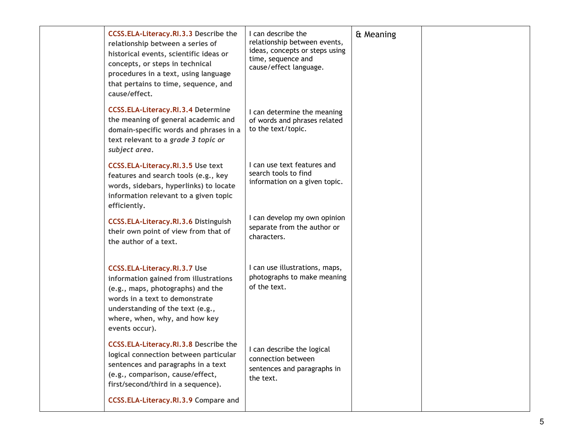| CCSS.ELA-Literacy.RI.3.3 Describe the<br>relationship between a series of<br>historical events, scientific ideas or<br>concepts, or steps in technical<br>procedures in a text, using language<br>that pertains to time, sequence, and<br>cause/effect. | I can describe the<br>relationship between events,<br>ideas, concepts or steps using<br>time, sequence and<br>cause/effect language. | & Meaning |  |
|---------------------------------------------------------------------------------------------------------------------------------------------------------------------------------------------------------------------------------------------------------|--------------------------------------------------------------------------------------------------------------------------------------|-----------|--|
| <b>CCSS.ELA-Literacy.RI.3.4 Determine</b><br>the meaning of general academic and<br>domain-specific words and phrases in a<br>text relevant to a grade 3 topic or<br>subject area.                                                                      | I can determine the meaning<br>of words and phrases related<br>to the text/topic.                                                    |           |  |
| <b>CCSS.ELA-Literacy.RI.3.5 Use text</b><br>features and search tools (e.g., key<br>words, sidebars, hyperlinks) to locate<br>information relevant to a given topic<br>efficiently.                                                                     | I can use text features and<br>search tools to find<br>information on a given topic.                                                 |           |  |
| <b>CCSS.ELA-Literacy.RI.3.6 Distinguish</b><br>their own point of view from that of<br>the author of a text.                                                                                                                                            | I can develop my own opinion<br>separate from the author or<br>characters.                                                           |           |  |
| <b>CCSS.ELA-Literacy.RI.3.7 Use</b><br>information gained from illustrations<br>(e.g., maps, photographs) and the<br>words in a text to demonstrate<br>understanding of the text (e.g.,<br>where, when, why, and how key<br>events occur).              | I can use illustrations, maps,<br>photographs to make meaning<br>of the text.                                                        |           |  |
| CCSS.ELA-Literacy.RI.3.8 Describe the<br>logical connection between particular<br>sentences and paragraphs in a text<br>(e.g., comparison, cause/effect,<br>first/second/third in a sequence).                                                          | I can describe the logical<br>connection between<br>sentences and paragraphs in<br>the text.                                         |           |  |
| CCSS.ELA-Literacy.RI.3.9 Compare and                                                                                                                                                                                                                    |                                                                                                                                      |           |  |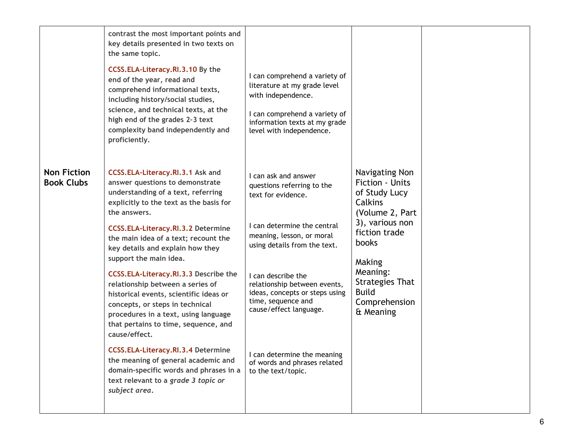|                                         | contrast the most important points and<br>key details presented in two texts on<br>the same topic.<br>CCSS.ELA-Literacy.RI.3.10 By the<br>end of the year, read and<br>comprehend informational texts,<br>including history/social studies,<br>science, and technical texts, at the<br>high end of the grades 2-3 text<br>complexity band independently and<br>proficiently. | I can comprehend a variety of<br>literature at my grade level<br>with independence.<br>I can comprehend a variety of<br>information texts at my grade<br>level with independence. |                                                                                                                                         |  |
|-----------------------------------------|------------------------------------------------------------------------------------------------------------------------------------------------------------------------------------------------------------------------------------------------------------------------------------------------------------------------------------------------------------------------------|-----------------------------------------------------------------------------------------------------------------------------------------------------------------------------------|-----------------------------------------------------------------------------------------------------------------------------------------|--|
| <b>Non Fiction</b><br><b>Book Clubs</b> | CCSS.ELA-Literacy.RI.3.1 Ask and<br>answer questions to demonstrate<br>understanding of a text, referring<br>explicitly to the text as the basis for<br>the answers.<br><b>CCSS.ELA-Literacy.RI.3.2 Determine</b><br>the main idea of a text; recount the<br>key details and explain how they<br>support the main idea.                                                      | I can ask and answer<br>questions referring to the<br>text for evidence.<br>I can determine the central<br>meaning, lesson, or moral<br>using details from the text.              | Navigating Non<br>Fiction - Units<br>of Study Lucy<br>Calkins<br>(Volume 2, Part<br>3), various non<br>fiction trade<br>books<br>Making |  |
|                                         | CCSS.ELA-Literacy.RI.3.3 Describe the<br>relationship between a series of<br>historical events, scientific ideas or<br>concepts, or steps in technical<br>procedures in a text, using language<br>that pertains to time, sequence, and<br>cause/effect.                                                                                                                      | I can describe the<br>relationship between events,<br>ideas, concepts or steps using<br>time, sequence and<br>cause/effect language.                                              | Meaning:<br><b>Strategies That</b><br><b>Build</b><br>Comprehension<br>& Meaning                                                        |  |
|                                         | <b>CCSS.ELA-Literacy.RI.3.4 Determine</b><br>the meaning of general academic and<br>domain-specific words and phrases in a<br>text relevant to a grade 3 topic or<br>subject area.                                                                                                                                                                                           | I can determine the meaning<br>of words and phrases related<br>to the text/topic.                                                                                                 |                                                                                                                                         |  |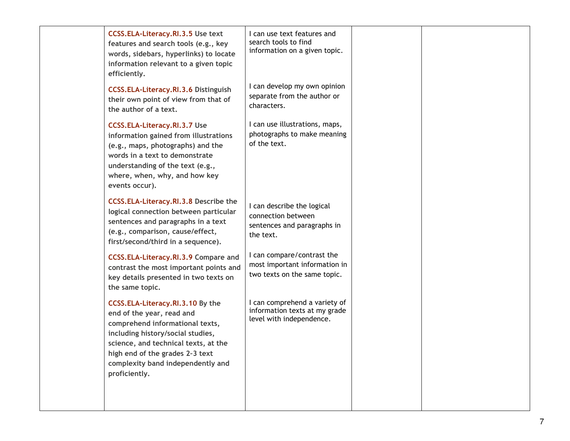| <b>CCSS.ELA-Literacy.RI.3.5 Use text</b><br>features and search tools (e.g., key<br>words, sidebars, hyperlinks) to locate<br>information relevant to a given topic<br>efficiently.                                                                                    | I can use text features and<br>search tools to find<br>information on a given topic.         |  |
|------------------------------------------------------------------------------------------------------------------------------------------------------------------------------------------------------------------------------------------------------------------------|----------------------------------------------------------------------------------------------|--|
| CCSS.ELA-Literacy.RI.3.6 Distinguish<br>their own point of view from that of<br>the author of a text.                                                                                                                                                                  | I can develop my own opinion<br>separate from the author or<br>characters.                   |  |
| <b>CCSS.ELA-Literacy.RI.3.7 Use</b><br>information gained from illustrations<br>(e.g., maps, photographs) and the<br>words in a text to demonstrate<br>understanding of the text (e.g.,<br>where, when, why, and how key<br>events occur).                             | I can use illustrations, maps,<br>photographs to make meaning<br>of the text.                |  |
| <b>CCSS.ELA-Literacy.RI.3.8 Describe the</b><br>logical connection between particular<br>sentences and paragraphs in a text<br>(e.g., comparison, cause/effect,<br>first/second/third in a sequence).                                                                  | I can describe the logical<br>connection between<br>sentences and paragraphs in<br>the text. |  |
| CCSS.ELA-Literacy.RI.3.9 Compare and<br>contrast the most important points and<br>key details presented in two texts on<br>the same topic.                                                                                                                             | I can compare/contrast the<br>most important information in<br>two texts on the same topic.  |  |
| CCSS.ELA-Literacy.RI.3.10 By the<br>end of the year, read and<br>comprehend informational texts,<br>including history/social studies,<br>science, and technical texts, at the<br>high end of the grades 2-3 text<br>complexity band independently and<br>proficiently. | I can comprehend a variety of<br>information texts at my grade<br>level with independence.   |  |
|                                                                                                                                                                                                                                                                        |                                                                                              |  |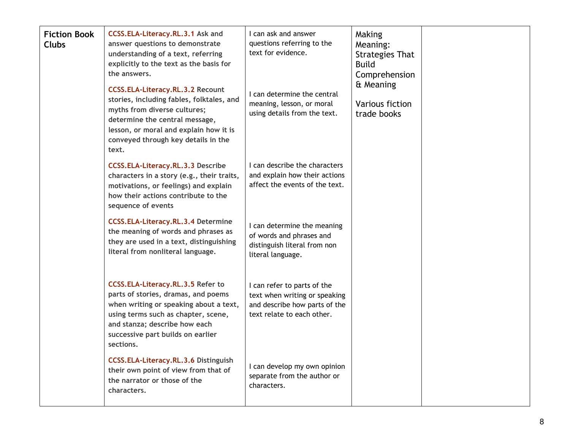| <b>Fiction Book</b><br><b>Clubs</b> | CCSS.ELA-Literacy.RL.3.1 Ask and<br>answer questions to demonstrate<br>understanding of a text, referring<br>explicitly to the text as the basis for<br>the answers.<br><b>CCSS.ELA-Literacy.RL.3.2 Recount</b><br>stories, including fables, folktales, and<br>myths from diverse cultures;<br>determine the central message,<br>lesson, or moral and explain how it is<br>conveyed through key details in the<br>text. | I can ask and answer<br>questions referring to the<br>text for evidence.<br>I can determine the central<br>meaning, lesson, or moral<br>using details from the text. | Making<br>Meaning:<br><b>Strategies That</b><br><b>Build</b><br>Comprehension<br>& Meaning<br>Various fiction<br>trade books |  |
|-------------------------------------|--------------------------------------------------------------------------------------------------------------------------------------------------------------------------------------------------------------------------------------------------------------------------------------------------------------------------------------------------------------------------------------------------------------------------|----------------------------------------------------------------------------------------------------------------------------------------------------------------------|------------------------------------------------------------------------------------------------------------------------------|--|
|                                     | <b>CCSS.ELA-Literacy.RL.3.3 Describe</b><br>characters in a story (e.g., their traits,<br>motivations, or feelings) and explain<br>how their actions contribute to the<br>sequence of events                                                                                                                                                                                                                             | I can describe the characters<br>and explain how their actions<br>affect the events of the text.                                                                     |                                                                                                                              |  |
|                                     | <b>CCSS.ELA-Literacy.RL.3.4 Determine</b><br>the meaning of words and phrases as<br>they are used in a text, distinguishing<br>literal from nonliteral language.                                                                                                                                                                                                                                                         | I can determine the meaning<br>of words and phrases and<br>distinguish literal from non<br>literal language.                                                         |                                                                                                                              |  |
|                                     | <b>CCSS.ELA-Literacy.RL.3.5 Refer to</b><br>parts of stories, dramas, and poems<br>when writing or speaking about a text,<br>using terms such as chapter, scene,<br>and stanza; describe how each<br>successive part builds on earlier<br>sections.                                                                                                                                                                      | I can refer to parts of the<br>text when writing or speaking<br>and describe how parts of the<br>text relate to each other.                                          |                                                                                                                              |  |
|                                     | CCSS.ELA-Literacy.RL.3.6 Distinguish<br>their own point of view from that of<br>the narrator or those of the<br>characters.                                                                                                                                                                                                                                                                                              | I can develop my own opinion<br>separate from the author or<br>characters.                                                                                           |                                                                                                                              |  |